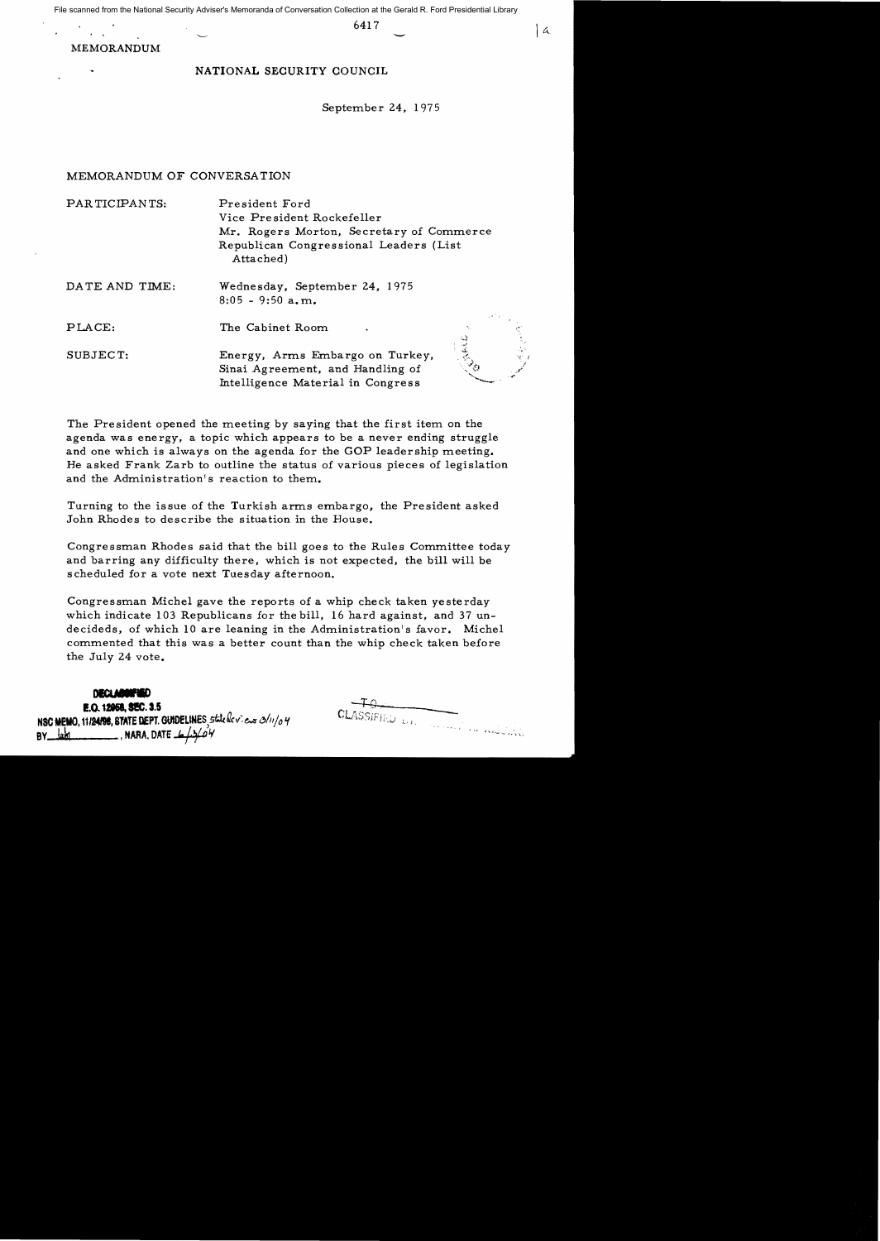File scanned from the National Security Adviser's Memoranda of Conversation Collection at the Gerald R. Ford Presidential Library

6417

|  $\alpha$ 

# MEMORANDUM 6417

# NATIONAL SECURITY COUNCIL

September 24, 1975

## MEMORANDUM OF CONVERSATION

PAR TICIPANTS: President Ford Vice Pre sident Rockefeller Mr. Rogers Morton, Secretary of Commerce Republican Congressional Leaders (List Attached)

| DATE AND TIME: | Wednesday, September 24, 1975 |
|----------------|-------------------------------|
|                | $8:05 - 9:50$ a, m.           |

PLACE: The Cabinet Room

SUBJECT: Energy, Arms Embargo on Turkey, Sinai Agreement, and Handling of Intelligence Material in Congress

The President opened the meeting by saying that the first item on the agenda was energy, a topic which appears to be a never ending struggle and one which is always on the agenda for the GOP leadership meeting. He asked Frank Zarb to outline the status of various pieces of legislation and the Administration's reaction to them.

Turning to the issue of the Turkish arms embargo, the President asked John Rhodes to describe the situation in the House.

Congressman Rhodes said that the bill goes to the Rules Committee today and barring any difficulty there, which is not expected, the bill will be scheduled for a vote next Tuesday afternoon.

Congressman Michel gave the reports of a whip check taken yesterday which indicate 103 Republicans for the bill, 16 hard against, and 37 undecideds, of which 10 are leaning in the Administration's favor. Michel commented that this was a better count than the whip check taken before the July 24 vote.

## **DECLABORTED**

E.O. 12058, SEC. 3.5 NSC MEMO, 11/24/98, STATE DEPT. GUIDELINES, state fleviews 3/11/04 BY  $\frac{lnh}{h}$ , NARA, DATE  $\frac{1}{2}$ 

CLASSIFIED D.I. Superior is middling

SANED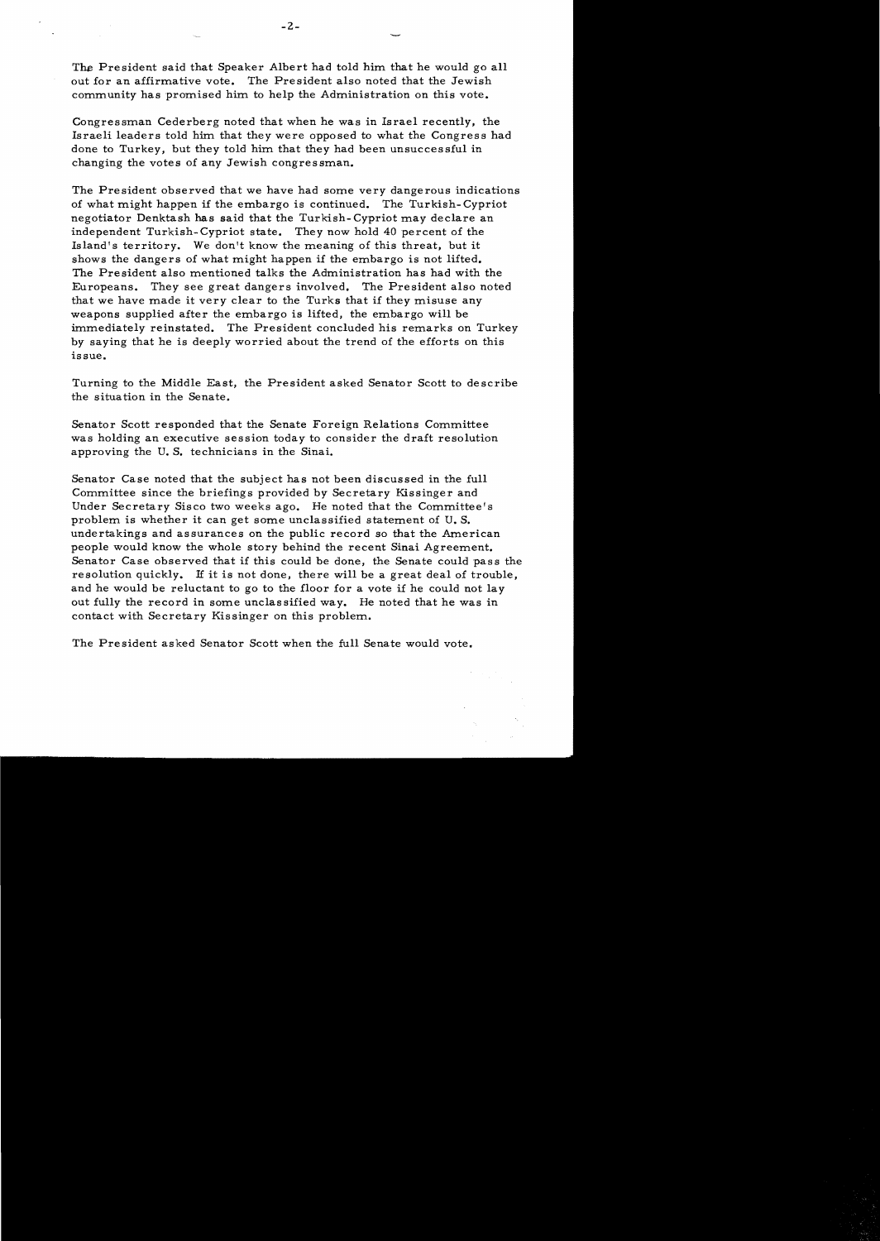The President said that Speaker Albert had told him that he would go all out for an affirmative vote. The President also noted that the Jewish community has promised him to help the Administration on this vote.

Congressman Cederberg noted that when he was in Israel recently, the Israeli leaders told him that they were opposed to what the Congress had done to Turkey, but they told him that they had been unsucces sful in changing the votes of any Jewish congressman.

The President observed that we have had some very dangerous indications of what might happen if the embargo is continued. The Turkish- Cypriot negotiator Denktash has said that the Turkish-Cypriot may declare an independent Turkish- Cypriot state. They now hold 40 percent of the Island's territory. We don't know the meaning of this threat, but it shows the dangers of what might happen if the embargo is not lifted. The President also mentioned talks the Administration has had with the Europeans. They see great dangers involved. The President also noted that we have made it very clear to the Turks that if they misuse any weapons supplied after the embargo is lifted, the embargo will be immediately reinstated. The President concluded his remarks on Turkey by saying that he is deeply worried about the trend of the efforts on this issue.

Turning to the Middle East, the President asked Senator Scott to describe the situation in the Senate.

Senator Scott responded that the Senate Foreign Relations Committee was holding an executive session today to consider the draft resolution approving the U. S. technicians in the Sinai.

Senator Case noted that the subject has not been discussed in the full Committee since the briefings provided by Secretary Kissinger and Under Secretary Sisco two weeks ago. He noted that the Committee's problem is whether it can get some unclassified statement of U. S. undertakings and assurances on the public record so that the American people would know the whole story behind the recent Sinai Agreement. Senator Case observed that if this could be done, the Senate could pass the resolution quickly. If it is not done, there will be a great deal of trouble, and he would be reluctant to go to the floor for a vote if he could not lay out fully the record in some unclassified way. He noted that he was in contact with Secretary Kissinger on this problem.

The President asked Senator Scott when the full Senate would vote.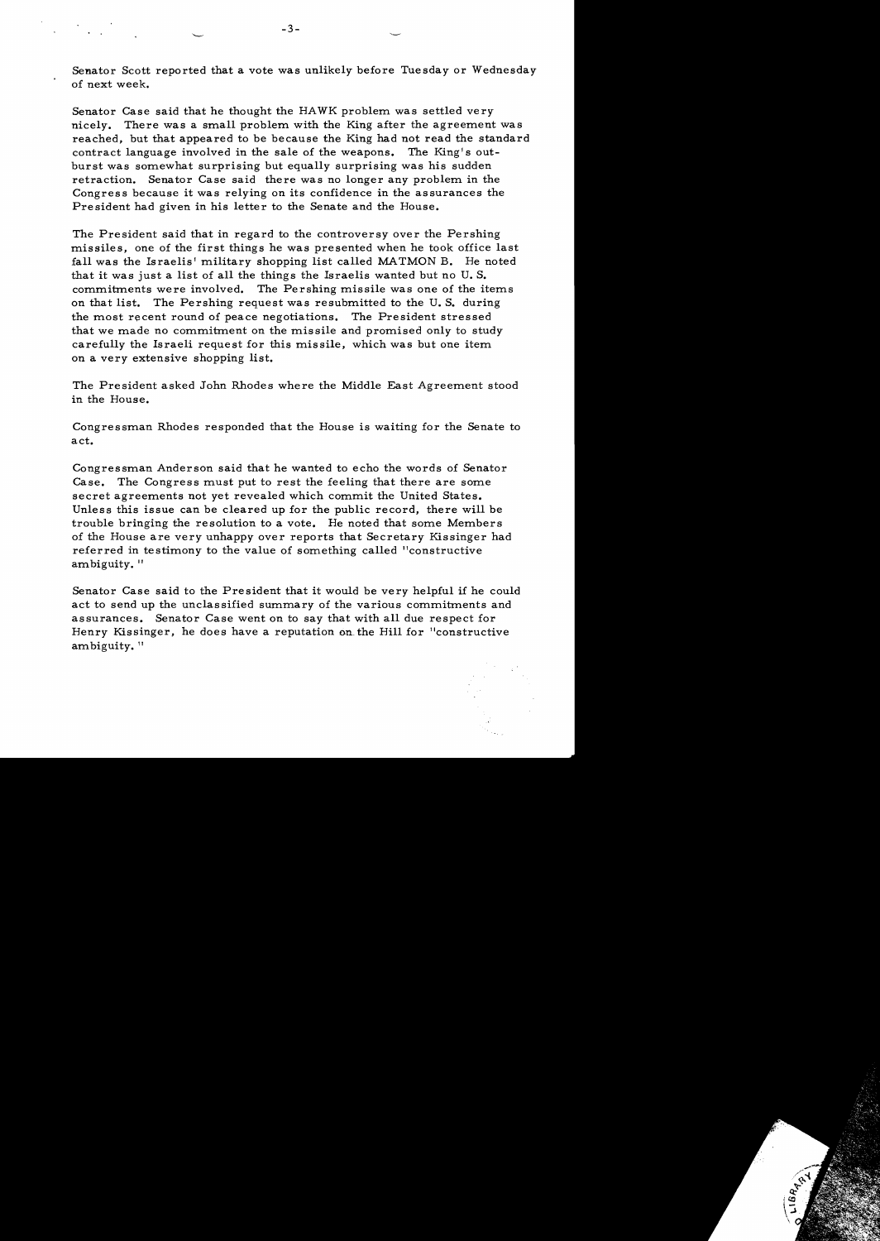Senator Scott reported that a vote was unlikely before Tuesday or Wednesday of next week.

Senator Case said that he thought the HAWK problem was settled very nicely. There was a small problem with the King after the agreement was reached, but that appeared to be because the King had not read the standard contract language involved in the sale of the weapons. The King's outburst was somewhat surprising but equally surprising was his sudden retraction. Senator Case said there was no longer any problem in the Congress because it was relying on its confidence in the assurances the President had given in his letter to the Senate and the House.

The President said that in regard to the controversy over the Pershing missiles, one of the first things he was presented when he took office last fall was the Israelis' military shopping list called MATMON B. He noted that it was just a list of all the things the Israelis wanted but no U. S. commitments were involved. The Pershing missile was one of the items on that list. The Pershing request was resubmitted to the U. S. during the most recent round of peace negotiations. The President stressed that we made no commitment on the missile and promised only to study carefully the Israeli request for this missile, which was but one item on a very extensive shopping list.

The President asked John Rhodes where the Middle East Agreement stood in the House.

Congressman Rhodes responded that the House is waiting for the Senate to act.

Congressman Anderson said that he wanted to echo the words of Senator Case. The Congress must put to rest the feeling that there are some secret agreements not yet revealed which commit the United States. Unless this issue can be cleared up for the public record, there will be trouble bringing the resolution to a vote. He noted that some Members of the House are very unhappy over reports that Secretary Kissinger had referred in testimony to the value of something called "constructive ambiguity. "

Senator Case said to the President that it would be very helpful if he could act to send up the unclassified summary of the various commitments and assurances. Senator Case went on to say that with all due respect for Henry Kissinger, he does have a reputation on the Hill for "constructive ambiguity. "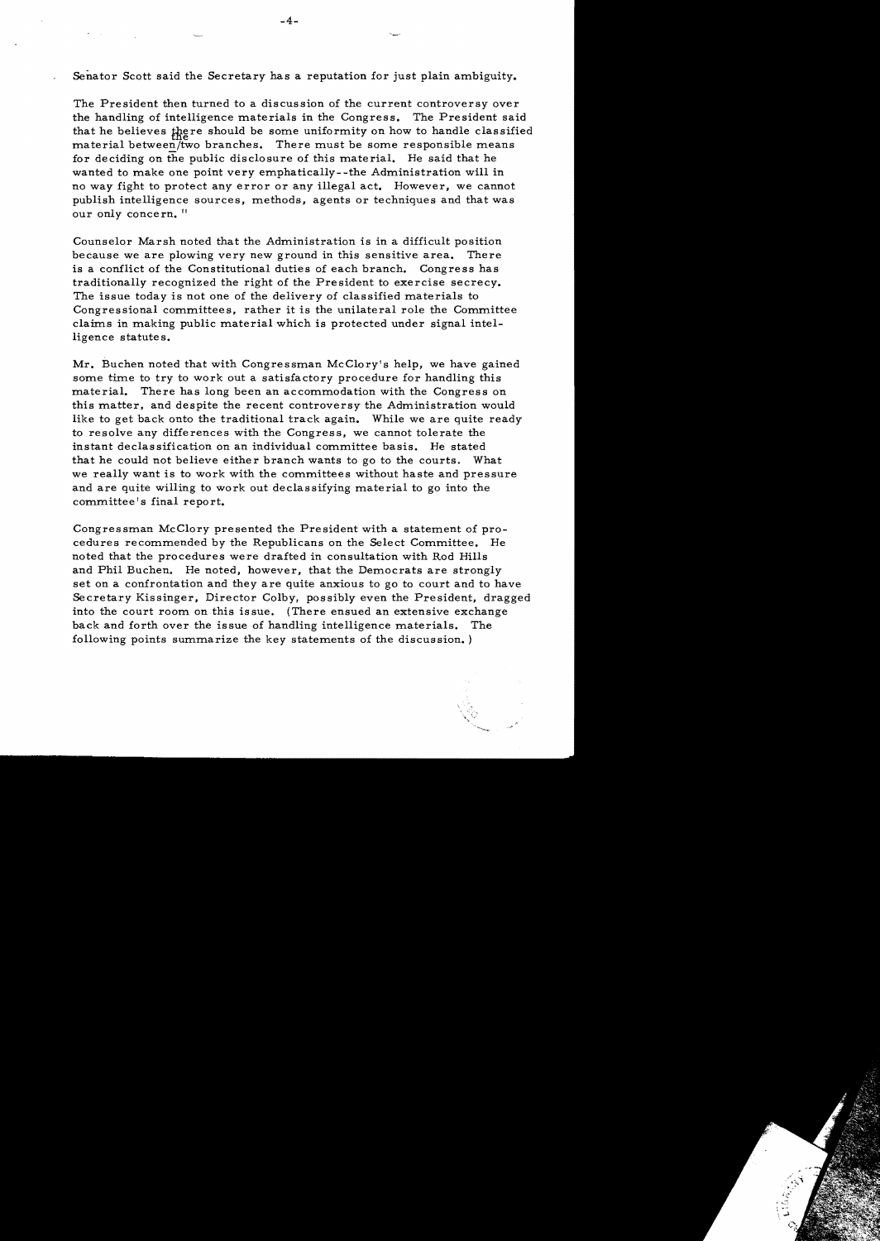Senator Scott said the Secretary has a reputation for just plain ambiguity.

The President then turned to a discussion of the current controversy over the handling of intelligence materials in the Congress. The President said that he believes there should be some uniformity on how to handle classified material between/two branches. There must be some responsible means for deciding on the public disclosure of this material. He said that he wanted to make one point very emphatically- -the Administration will in no way fight to protect any error or any illegal act. However, we cannot publish intelligence sources, methods, agents or techniques and that was our only concern. "

Counselor Marsh noted that the Administration is in a difficult position because we are plowing very new ground in this sensitive area. There is a conflict of the Constitutional duties of each branch. Congress has traditionally recognized the right of the President to exercise secrecy. The issue today is not one of the delivery of classified materials to Congressional committees, rather it is the unilateral role the Committee claims in making public material which is protected under signal intelligence statutes.

Mr. Buchen noted that with Congressman McClory's help, we have gained some time to try to work out a satisfactory procedure for handling this material. There has long been an accommodation with the Congress on this matter, and despite the recent controversy the Administration would like to get back onto the traditional track again. While we are quite ready to resolve any differences with the Congress, we cannot tolerate the instant declassification on an individual committee basis. He stated that he could not believe either branch wants to go to the courts. What we really want is to work with the committees without haste and pressure and are quite willing to work out declassifying material to go into the committee's final report.

Congressman McClory presented the President with a statement of procedures recommended by the Republicans on the Select Committee. He noted that the procedures were drafted in consultation with Rod Hills and Phil Buchen. He noted, however, that the Democrats are strongly set on a confrontation and they are quite anxious to go to court and to have Secretary Kissinger. Director Colby, possibly even the President. dragged into the court room on this is sue. {There ensued an extensive exchange back and forth over the issue of handling intelligence materials. The following points summarize the key statements of the discussion. }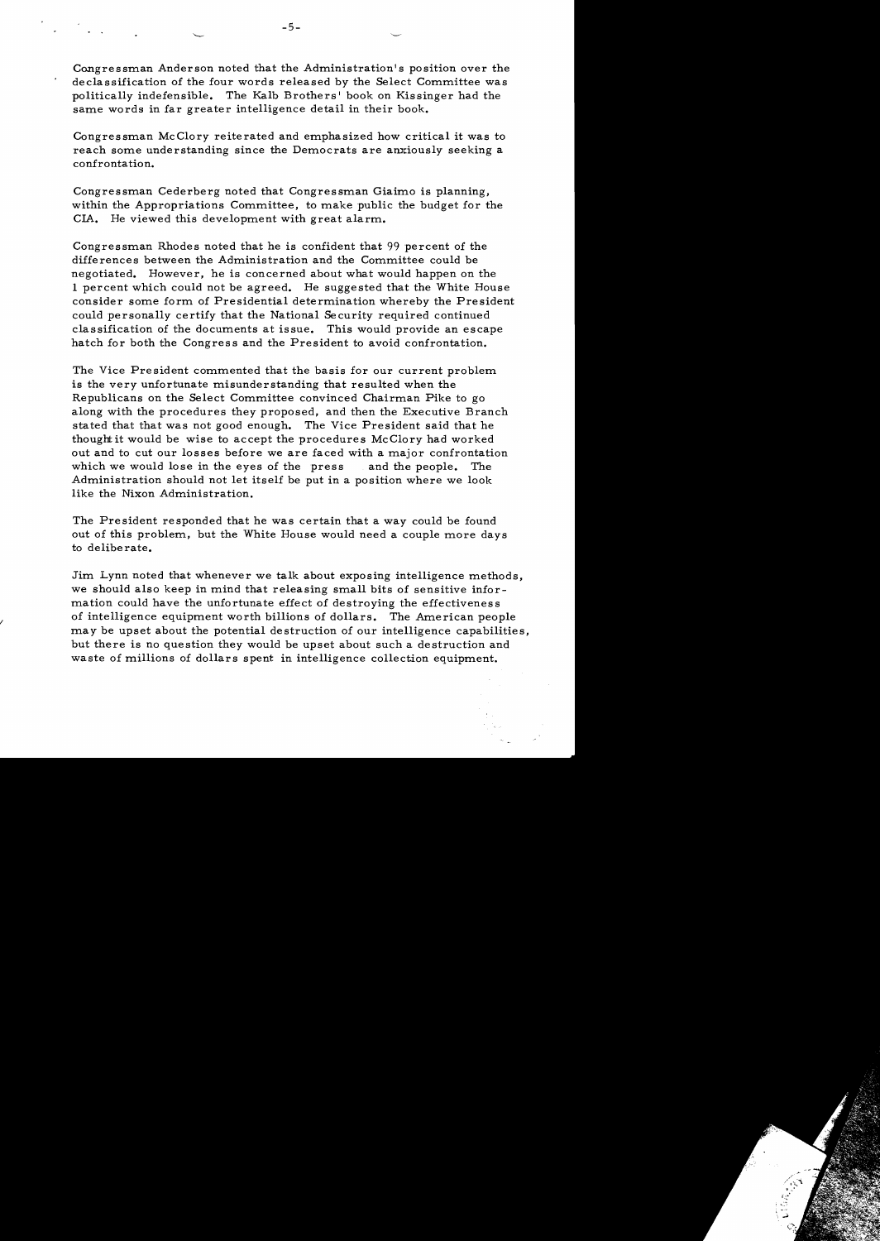Congressman Anderson noted that the Administration's position over the declassification of the four words released by the Select Committee was politically indefensible. The Kalb Brothers' book on Kissinger had the same words in far greater intelligence detail in their book.

Congressman McClory reiterated and emphasized how critical it was to reach some understanding since the Democrats are anxiously seeking a confrontation.

Congressman Cederberg noted that Congressman Giaimo is planning, within the Appropriations Committee, to make public the budget for the CIA. He viewed this development with great alarm.

Congressman Rhodes noted that he is confident that 99 percent of the differences between the Administration and the Committee could be negotiated. However, he is concerned about what would happen on the I percent which could not be agreed. He suggested that the White House consider some form of Presidential determination whereby the President could personally certify that the National Security required continued classification of the documents at issue. This would provide an escape hatch for both the Congress and the President to avoid confrontation.

The Vice President commented that the basis for our current problem is the very unfortunate misunderstanding that resulted when the Republicans on the Select Committee convinced Chairman Pike to go along with the procedures they proposed, and then the Executive Branch stated that that was not good enough. The Vice President said that he thought it would be wise to accept the procedures McClory had worked out and to cut our losses before we are faced with a major confrontation which we would lose in the eyes of the press and the people. The Administration should not let itself be put in a position where we look like the Nixon Administration.

The President responded that he was certain that a way could be found out of this problem, but the White House would need a couple more days to deliberate.

Jim Lynn noted that whenever we talk about exposing intelligence methods, we should also keep in mind that releasing small bits of sensitive information could have the unfortunate effect of destroying the effectiveness of intelligence equipment worth billions of dollars. The American people may be upset about the potential destruction of our intelligence capabilities, but there is no question they would be upset about such a destruction and waste of millions of dollars spent in intelligence collection equipment.

I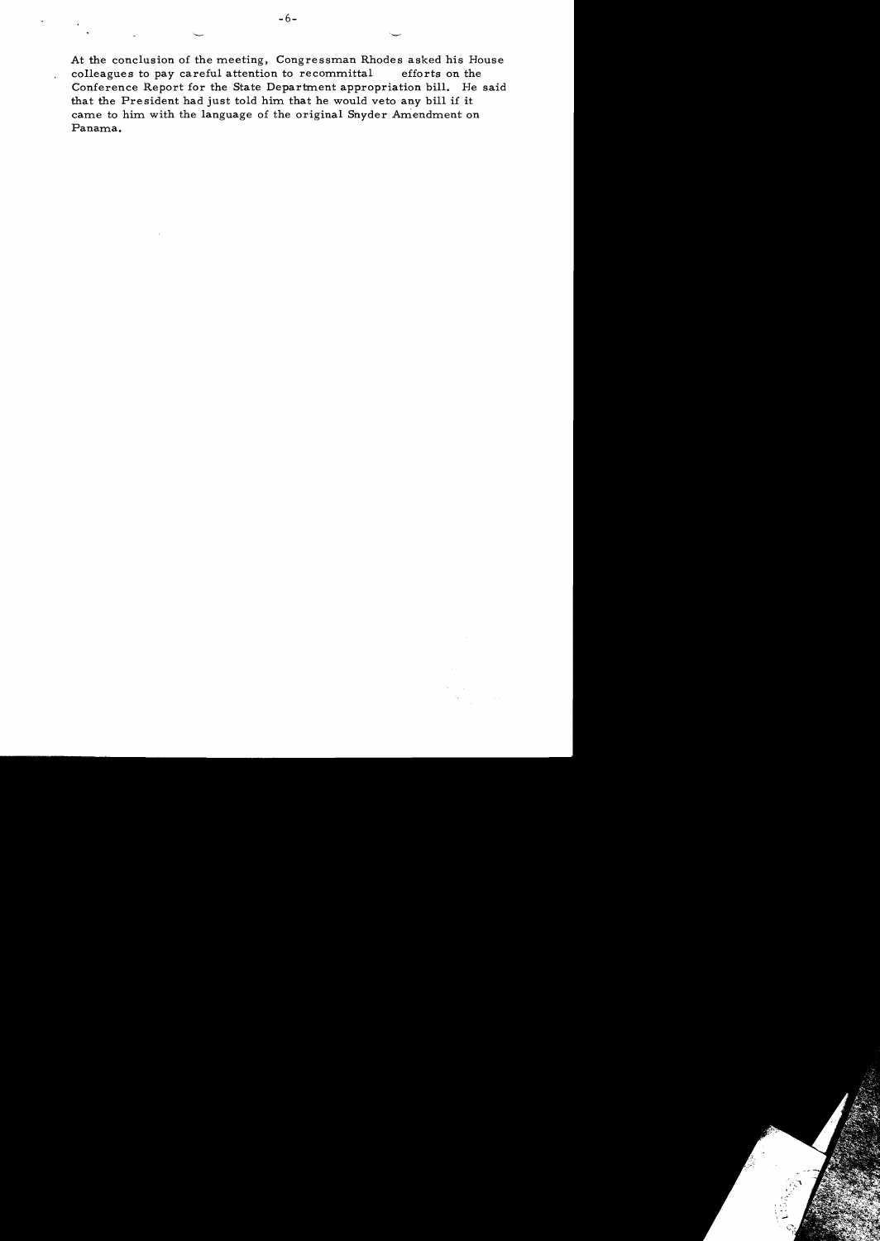At the conclusion of the meeting, Congressman Rhodes asked his House colleagues to pay careful attention to recommittal efforts on the Conference Report for the State Department appropriation bill. He said that the President had just told him that he would veto any bill if it carne to him with the language of the original Snyder Amendment on Panama.

 $\epsilon$ 

l.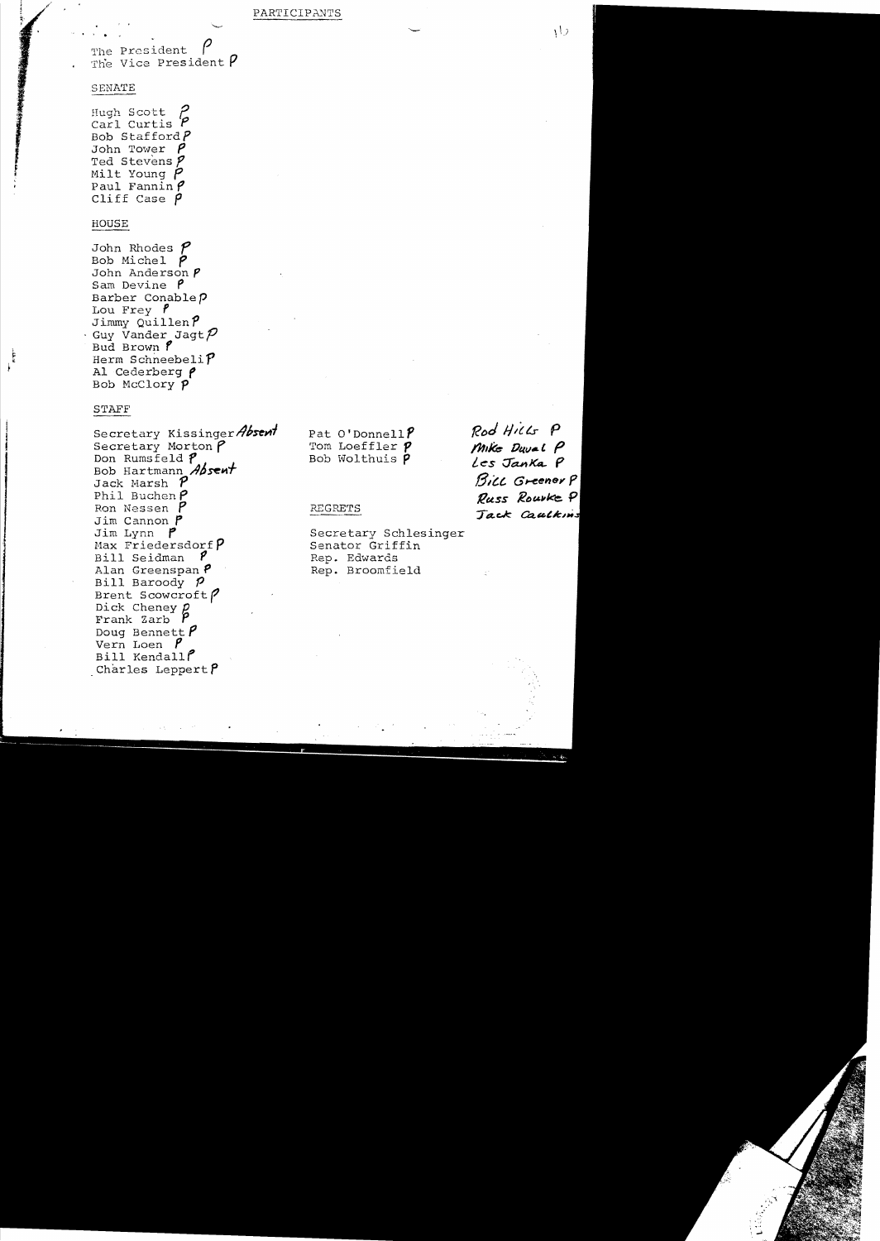The President The Vice President  $P$ 

#### SENATE

● のこのまでのあるのです のかい (の) のうち

Hugh Scott Carl Curtis<sup>'</sup> Bob Stafford $P$ John Tower  $P$ Ted Stevens  $$ Milt Young  $P$ Paul Fannin  $\rho$ Cliff Case  $\rho$ 

#### HOUSE

John Rhodes  $$ Bob Michel  $\rho$ John Anderson  $$ Sam Devine  $P$ Barber Conable P Lou Frey  $$ Jimmy Quillen  $P$ Guy Vander Jagt ${\cal P}$ Bud Brown P Herm Schneebeli $P$ Al Cederberg P Bob McClory P

## **STAFF**

Secretary Kissinger Absent Secretary Morton  $\rho$ Don Rumsfeld ? Bob Hartmann Absent Jack Marsh  $P$ Phil Buchen  $\rho$ Ron Nessen P Jim Cannon  $$ Jim Lynn P Max Friedersdorf  $P$ Bill Seidman γ Alan Greenspan P Bill Baroody  $$ Brent Scowcroft? Dick Cheney E Frank Zarb  $\beta$ Doug Bennett  $$ Vern Loen  $$ Bill Kendall Charles Leppert  $P$ 

Pat O'Donnell $P$ Tom Loeffler P Bob Wolthuis P

#### REGRETS

Secretary Schlesinger Senator Griffin Rep. Edwards Rep. Broomfield

Rod Hills P Mike Duval P Les Janka P Bill Greener P Russ Rourke P Jack Caulkins

 $\sqrt{2}$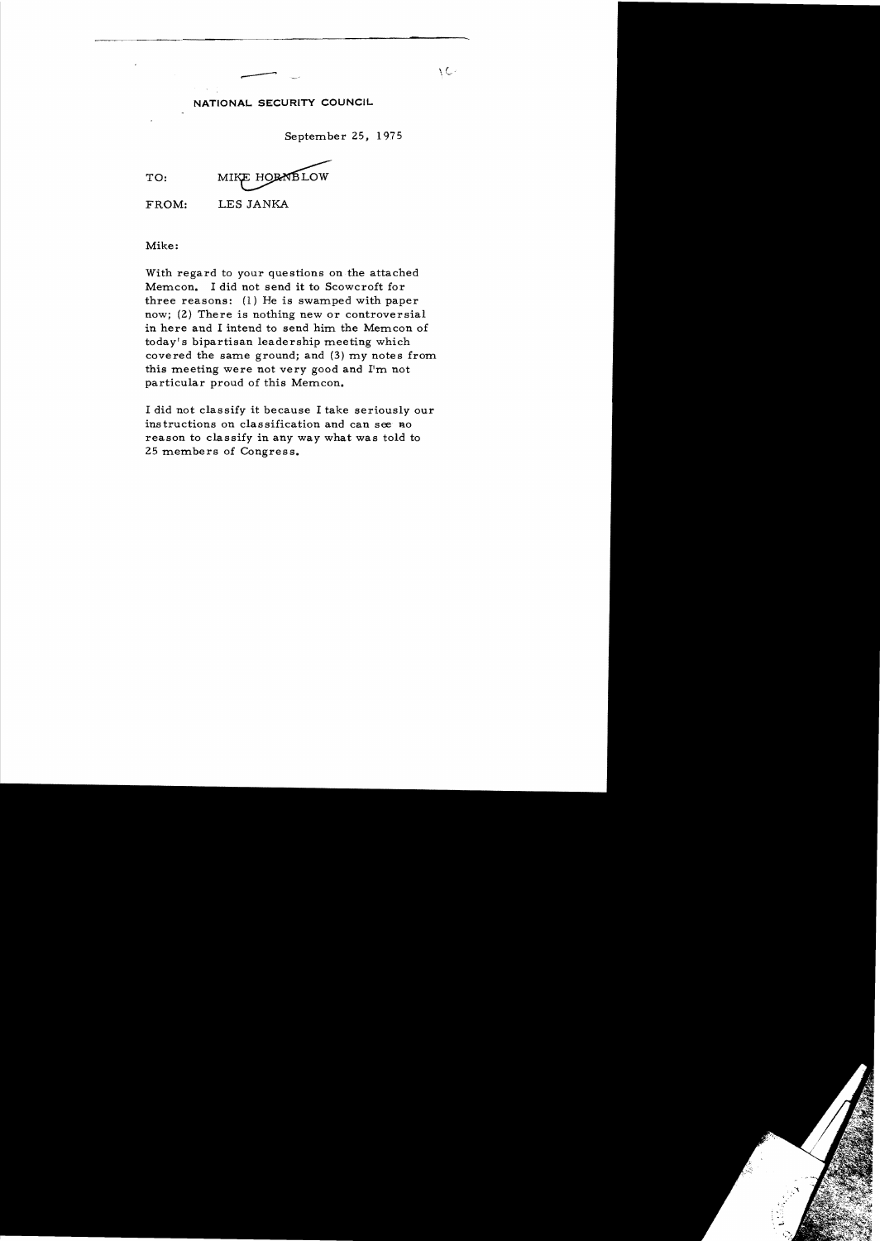### **NATIONAL SECURITY COUNCIL**

September 25, 1975

TO: MIKE HORNBLOW

FROM: LES JANKA

Mike:

With regard to your questions on the attached Mem.cn. I did not send it to Scowcroft for three reasons:  $(1)$  He is swamped with paper now; (2) There is nothing new or controversial in here and I intend to send him the Memcon of today's bipartisan leadership meeting which covered the same ground; and  $(3)$  my notes from. this meeting were not very good and I'm not particular proud of this Memcon.

I did not classify it because I take seriously our ins tructions on classification and can see no reason to classify in any way what was told to 25 members of Congress.

 $\vee$